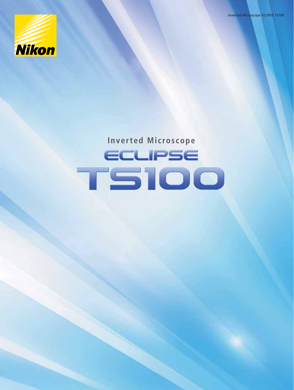**Nikon** 

**Inverted Microscope**

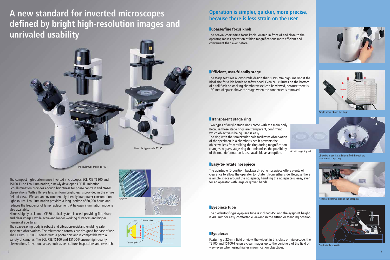

# **A new standard for inverted microscopes defined by bright high-resolution images and unrivaled usability**

## **Operation is simpler, quicker, more precise, because there is less strain on the user**

The space-saving body is robust and vibration-resistant, enabling safe specimen observations. The microscope controls are designed for ease of use. The ECLIPSE TS100-F comes with a photo port and is compatible with a variety of cameras. The ECLIPSE TS100 and TS100-F ensure high-quality observations for various areas, such as cell culture, inspections and research.

The compact high-performance inverted microscopes ECLIPSE TS100 and TS100-F use Eco-illumination, a newly developed LED illumination. Eco-illumination provides enough brightness for phase contrast and NAMC observations. With a fly-eye lens, uniform brightness is provided in the entire field of view. LEDs are an environmentally friendly low-power-consumption light source. Eco-illumination provides a long lifetime of 60,000 hours and reduces the frequency of lamp replacement. A halogen illumination model is also available.

Nikon's highly acclaimed CFI60 optical system is used, providing flat, sharp and clear images, while achieving longer working distances and higher numerical apertures.



### **■ Coarse/fine focus knob**

The coaxial coarse/fine focus knob, located in front of and close to the operator, makes operation at high magnifications more efficient and convenient than ever before.



Comfortable operation

### **■ Efficient, user-friendly stage**

The stage features a low-profile design that is 195 mm high, making it the ideal size for a lab bench or safety hood. Even cell cultures on the bottom of a tall flask or stacking chamber vessel can be viewed, because there is 190 mm of space above the stage when the condenser is removed.

### **■ Transparent stage ring**

Two types of acrylic stage rings come with the main body. Because these stage rings are transparent, confirming which objective is being used is easy. The ring with the semicircular hole facilitates observation of the specimen in a chamber since it prevents the objective lens from striking the ring during magnification changes. A glass stage ring that minimizes the possibility of thermal deformation is also available as an option.

### **■ Eyepiece tube**

The Siedentopf-type eyepiece tube is inclined 45° and the eyepoint height is 400 mm for easy, comfortable viewing in the sitting or standing position.

## **■ Eyepieces**

Featuring a 22-mm field of view, the widest in this class of microscope, the TS100 and TS100-F ensure clear images up to the periphery of the field of view even when using higher magnification objectives.





### **■ Easy-to-rotate nosepiece**

The quintuple (5-position) backward-facing nosepiece offers plenty of clearance to allow the operator to rotate it from either side. Because there is ample space around the nosepiece, handling the nosepiece is easy, even for an operator with large or gloved hands.



Objective in use is easily identified through the transparent stage ring.



Plenty of clearance around the nosepiece

Ample space above the stage



Acrylic stage ring set

Trinocular type model TS100-F

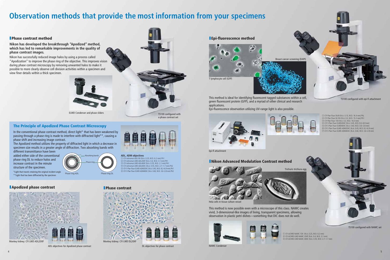# **Observation methods that provide the most information from your specimens**

This method is ideal for identifying fluorescent tagged substances within a cell, green fluorescent protein (GFP), and a myriad of other clinical and research applications.

 $\begin{array}{ccc} \textcircled{1} & \textcircled{2} & \textcircled{3} \end{array}$ 

Epi-fluorescence observation utilizing UV-range light is also possible.





NAMC Condenser

 CFI Plan Fluor DL4X (N.A. 0.13, W.D. 16.4 mm) PhL ② CFI Plan Fluor DL10X (N.A. 0.3, W.D. 15.2 mm) Ph1 ③ CFI Plan Fluor 10X (N.A. 0.3, W.D. 16.0 mm) CFI S Plan Fluor ELWD20XC (N.A. 0.45, W.D. 8.2–6.9 mm) CFI S Plan Fluor ELWD40XC (N.A. 0.60, W.D. 3.6–2.8 mm) CFI S Plan Fluor ELWD ADM20XC (N.A. 0.45, W.D. 8.2–6.9 mm) CFI S Plan Fluor ELWD ADM40XC (N.A. 0.60, W.D. 3.6–2.8 mm)

① CFI ACHRO NAMC 10X (N.A. 0.25, W.D. 6.2 mm) ② CFI ACHRO LWD NAMC 20XF (N.A. 0.4, W.D. 3.1 mm) ③ CFI ACHRO LWD NAMC 40XC (N.A. 0.55, W.D. 2.7–1.7 mm)





ELWD Condenser and phase sliders

In the conventional phase contrast method, direct light\* that has been weakened by passing through a phase ring is made to interfere with diffracted light\*\*, causing a phase shift and increasing image contrast.



**ADL, ADM objectives** ① CFI Achromat ADL10X (N.A. 0.25, W.D. 6.2 mm) Ph1 CFI Achromat LWD ADL20XF (N.A. 0.4, W.D. 3.1 mm) Ph1 CFI Achromat LWD ADL40XF (N.A. 0.55, W.D. 2.1 mm) Ph1 CFI Achromat LWD ADL40XC (N.A. 0.55, W.D. 2.7–1.7 mm) Ph2 CFI S Plan Fluor ELWD ADM20XC (N.A. 0.45, W.D. 8.2–6.9 mm) Ph1 CFI S Plan Fluor ELWD ADM40XC (N.A. 0.60, W.D. 3.6–2.8 mm) Ph2









TS100 configured with a phase contrast set

TS100 configured with epi-fl attachment

TS100 configured with NAMC set

ADL objectives for Apodized phase contrast



DL objectives for phase contrast

### **■ Phase contrast method**

### **Nikon has developed the breakthrough "Apodized" method, which has led to remarkable improvements in the quality of phase contrast images.**

Nikon has successfully reduced image halos by using a process called "Apodization" to improve the phase ring of the objective. This improves vision during phase contrast microscopy by removing unwanted halos to make it possible to more clearly observe cell division activities within a specimen and view finer details within a thick specimen.

### **■ Apodized phase contrast ■ Phase contrast**

### **The Principle of Apodized Phase Contrast Microscopy**

The Apodized method utilizes the property of diffracted light in which a decrease in specimen size results in a greater angle of diffraction. Two absorbing bands with

different transmittance have been added either side of the conventional phase ring DL to reduce halos and increase contrast in the minute structure of the specimen.

\*Light that travels retaining the original incident angle \*\*Light that has been diffracted by the specimen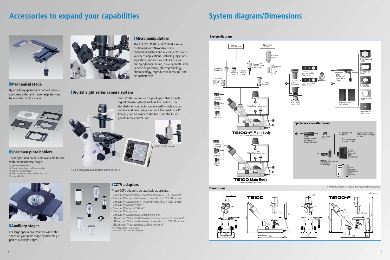## Accessories to expand your capabilities **System diagram/Dimensions**



### **■ Mechanical stage**

These specimen holders are available for use with the mechanical stage:

By attaching appropriate holders, various specimen slides and micro testplates can be mounted on this stage.

### **■ Specimen plate holders**

- ① Hemacytometer Holder ② Terasaki Holder (accepts ø65-mm petri dish) ③ ø35-mm Petri Dish Holder
- ④ Slide Glass Holder (accepts ø54-mm petri dish)
- 





**■ Auxiliary stages**

For large specimens, you can widen the space on your plain stage by attaching a pair of auxiliary stages.



### **■ Micromanipulators**

The ECLIPSE TS100 and TS100-F can be configured with Nikon/Narishige micromanipulators and microinjectors for a variety of applications, including injections, aspiration, and incisions of cell tissues during cytoengineering, developmental and genetic engineering, electrophysiology, pharmacology, reproductive medicine, and neurochemistry.

- C-mount TV Adapter 0.6X—recommended for 2/3" CCD camera\* • C-mount TV Adapter 0.45X—recommended for 1/2" CCD camera\*
- C-mount TV Adapter 0.35X-recommended for 2/3" CCD camera\*
- C-mount TV Adapter VM4X\*\*
- C-mount TV Adapter VM2.5X\*\*
- C-mount TV Adapter A
- C-mount TV Adapter used with Relay Lens 1X\*
- ENG-mount TV Adapter 0.6X—recommended for 2/3" CCD camera\*
- ENG-mount TV Adapter 0.45X—recommended for 1/2" CCD camera\* • ENG-mount TV Adapter used with Relay Lens 1X\*
- \*V-T Photo Adapter is necessary
- \*\*C-mount TV Adapter A is necessary

TS100-F configured with Digital Camera DS-Fi2-L3

 $=$  $\uparrow$  With a CCTV camera

## **■ CCTV adapters** These CCTV adapters are available as options:







**System diagram**

### **■ Digital Sight series camera system**



stand-alone type digital camera with which you can capture and save images without the need for a PC. Imaging can be easily controlled using the touch